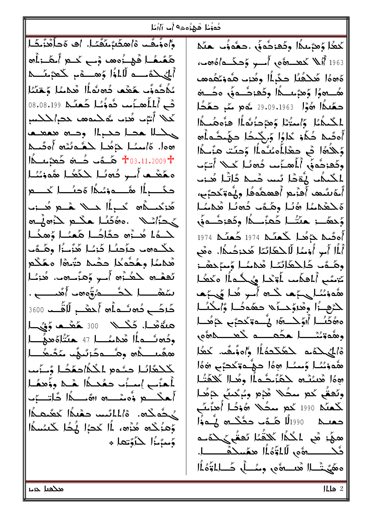ثَمزُنا فَهٰزُه\$ أَم ٱاُاْنا وَّاهِ فَكَ الْمَعْصَبَّىنَفَّمَـٰا. إِنَّ هَ حَأَهْنَيْهَـٰا كَعُدًا وَهِبَمِيجًا وَكَعْرَضُوفَ .حَقَّوَفُ حَتَّمَ هَمَّمُـا فَهِـزُهما وَبِ كَــمِ أَيضَـزَلَه 1963 أَأَلمَّا كُنْفِ وَهُ مِنْ أُسِيقِ وَحِكْمَاهُ وَهُ مَنْ أَلَيْ حِدَّمِــد لَّالمُواْ وَهِــدْمِ كَحِبَمَـٰهِ هُ‰ا مَكْدُمُلْ حَكَرِلُمْ ومُن، هُومُكُوهم مُمُحَدِّد هُجْم دُهرُهُ أَلْهُ هُمْمُا وَهَنَّمُا ثَبِ ٱلْمَلَّمِيَّنِ شَوْئِهِ ضَعِنَيْ 199.08.199 حَقْبَهُ أَوْمُ 1963.09.1963 مُمْ حَقَدًا كملا أتترب هُزب سُمطيقها حجرالحطيب لمَسْدُمُا وَاسْتُهَا وَهِرَجَزَتُمَلًا هِزَّهِ صُدًّا للمستعمة وحدوا وحده متعملكر أُهتُم حُكُو مُاوُا وَرِجْحَا حِيَىٰدًا هُمْ اده أمسُل حَرِّهُما لِحَقَّدِتُهُ أَدَمَّكَ وَحِدُهُا ۚ فَ حَغَالَمَ نُنُوٓ أَا وَحتَت عزَّحَمَا  $\mathring{\mathcal{A}}$  2009\* هَـــةَ دَ دُهَ هَـــةَ هَدَّ مِــدَّ اللَّهَـــةُ وِكَعْزَهُوَ ۚ ٱلۡمَالَمِنَ ۖ دَوَيَا ۚ كَلَّا ٱتَّبَى معَقْــم أُسـر دُهنُــا حَكَمُــا هُمْوَنْـُـا لمكْتِكُت بْتَوْضًا تُبِيت ضْبَحْ قُاتْبًا هُتِ ت حكَّـــ , أُل هُــــــــــونُــدُل هَ حبُـــــــــل كَـــــــــــمِ أَعَانِتُنِهَا أَفْزُوم أَقْهَدُومًا وِلُوَوْكُدِيَنَ، هُزَيْمِـــهُ مَنْ كَلِّـــ أَلْمَـــلا هُـــمْ هُـــزم كَحْشَامْلُ الْهُلَا وِهَٰـةَ ۖ دُولُـل قَدْمُـلَ مآهنگ مگم للهُهُه. /كذا هَر وَحِهَـــز هسَّـُــا حَمَّنَـــدًا وِحَقزحَــوفَ لحَــٰهُ لمَــٰٓزَه حثَائُــا هُعنُــا وَهنُــا أُهضُم جَرْهُما كُمِنَمْ 1974 صُمِنْها 1974 حكّموم حزّمتُ أحْنتُ هُزَمَّا وهُـمُت أَمَلًا أَسِ أُوْسُلَ لِّلْكَحَالَتَا هَٰذِكُناً. وقْدِ مْحْمَمُا وِهُدُّەكْلِ حضْحْ حَبُّىۋَا مَكَكْم وهَــةَ حَالِكَعَائِمَـا هُـمْـمُــا وَسَرَحِهُــز تُعفُّم حَمَدُهُ أُسِرٍ وَمَنْسِمِعٍ. مُدنسًا حَيْمَي أَلْحَكْمِت لِمُتَوَلِّدًا وَحَكَمَا الْمَحْمَد سَمْهُـــــــا لِحَــُـــــــهُ تَوْهِهِ أَهْبــــــــعِ . مقبرة المغ بدأ مك ستحر المنهفة لِكَرْهِبُوا وَهُدَوِّجْسَلَا حَقَّوَضًا وَٱمْكُنُّا كَرَضَـــ دُه نُسْملُه أَحِيْنِ لَلصَّــ 3600 هِ وَهُ كَنُسًا أَاوَ حَسَنَ اللَّهِ عَنْ مَعْ مَعْ هَذَا اللَّهُ عَلَيْهِ مَعْ مَعْ هَذَا اللَّهَ هِنَّهُ هُدا. كُنْدِ 300 هُعْدُ وَفَيْ ا وهُوبُنْـــــــــا حدُهــــــــه كْعـــــــــاهُوب ودُه تَـــدأَا هُدَمْمُـــــا 47 حَمَّتُاهُ هِدُـــا ةاليُحدَمه حمَّحْدَمُأَا وَّاهؤَمَّف. حُمَّا ھفَىسے وہ مُسْدَنَى مَنْ مَنْ مَنْ اللَّهُ عَنْ مَنْ مَنْ اللَّهُ هُدوْنُنَا وُسْنَا هِهُا حَقَّدَتِنَا هُمَّا كَحْعَابُ احدُهِ الْحُمُّ احمَحُا وُحِزِّب هِهُا هُنسُهِ حَمَّنُوشُواْلِ وهُجَالِ كَلَاهُتُنَا لْمَنَّبِ إمستُ حمَّدهُ! هَــدُ وَذَههُــا وتُعفُّي كُم سَكُلا قَدْمٍ وَيُكْتَبُ جَرَهُا أهكْسِع وْهِمْسِيهِ اللَّهْسِيمُ احْانِسِيْمِ كَمِنُمْ 1990 كُمْ سَكُلاً شُوْضًا أُهِنَّكَ لَكْتُمَكُّرُهُ. وَالْمُلْقَّ سَنْلُهُ الْمَعْيَمِينَ وَهِزُكُمْ هُزْمٍ، لَمَا كُحِرًا هُجًا كَبِسُمَا صفَّح رُهْعاً لَمْكُمُّا لَمْكُمْ مَعْ يَجْمِعُ وُسِبْدًا كَلُوُتِها \* ثَكْـــــــــةُى لَالزُّهُ اُلْهُ هَمْسِكَةِّــــــــا. دهَيَّ الْمَسْدَةُ وَمُسْلُ كَسَلْمَةُ وَالْمُسْتَرَبُّهُمْ